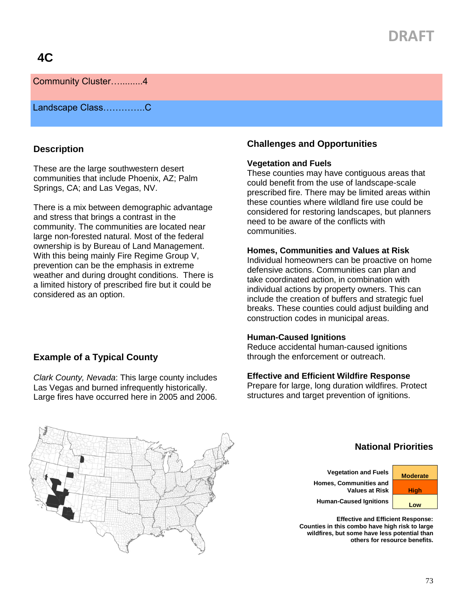# **DRAFT**

## Community Cluster….........4

Landscape Class…………..C

#### **Description**

These are the large southwestern desert communities that include Phoenix, AZ; Palm Springs, CA; and Las Vegas, NV.

There is a mix between demographic advantage and stress that brings a contrast in the community. The communities are located near large non-forested natural. Most of the federal ownership is by Bureau of Land Management. With this being mainly Fire Regime Group V, prevention can be the emphasis in extreme weather and during drought conditions. There is a limited history of prescribed fire but it could be considered as an option.

**Example of a Typical County**

#### **Challenges and Opportunities**

#### **Vegetation and Fuels**

These counties may have contiguous areas that could benefit from the use of landscape-scale prescribed fire. There may be limited areas within these counties where wildland fire use could be considered for restoring landscapes, but planners need to be aware of the conflicts with **communities** 

#### **Homes, Communities and Values at Risk**

Individual homeowners can be proactive on home defensive actions. Communities can plan and take coordinated action, in combination with individual actions by property owners. This can include the creation of buffers and strategic fuel breaks. These counties could adjust building and construction codes in municipal areas.

#### **Human-Caused Ignitions**

Reduce accidental human-caused ignitions through the enforcement or outreach.

#### **Effective and Efficient Wildfire Response**

Prepare for large, long duration wildfires. Protect structures and target prevention of ignitions.



*Clark County, Nevada*: This large county includes Las Vegas and burned infrequently historically. Large fires have occurred here in 2005 and 2006.

## **National Priorities**

**Vegetation and Fuels Moderate Homes, Communities and Values at Risk | High** 

Human-Caused Ignitions **Low** 

**Effective and Efficient Response: Counties in this combo have high risk to large wildfires, but some have less potential than others for resource benefits.**